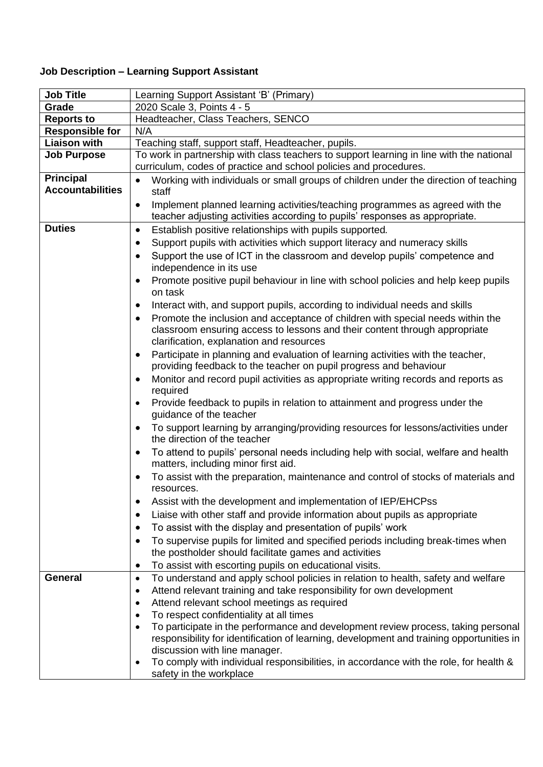## **Job Description – Learning Support Assistant**

| <b>Job Title</b>        | Learning Support Assistant 'B' (Primary)                                                                                                                      |
|-------------------------|---------------------------------------------------------------------------------------------------------------------------------------------------------------|
| Grade                   | 2020 Scale 3, Points 4 - 5                                                                                                                                    |
| <b>Reports to</b>       | Headteacher, Class Teachers, SENCO                                                                                                                            |
| <b>Responsible for</b>  | N/A                                                                                                                                                           |
| <b>Liaison with</b>     | Teaching staff, support staff, Headteacher, pupils.                                                                                                           |
| <b>Job Purpose</b>      | To work in partnership with class teachers to support learning in line with the national<br>curriculum, codes of practice and school policies and procedures. |
| <b>Principal</b>        | Working with individuals or small groups of children under the direction of teaching                                                                          |
| <b>Accountabilities</b> | staff                                                                                                                                                         |
|                         | Implement planned learning activities/teaching programmes as agreed with the<br>$\bullet$                                                                     |
|                         | teacher adjusting activities according to pupils' responses as appropriate.                                                                                   |
| <b>Duties</b>           | Establish positive relationships with pupils supported.<br>$\bullet$                                                                                          |
|                         | Support pupils with activities which support literacy and numeracy skills<br>٠                                                                                |
|                         | Support the use of ICT in the classroom and develop pupils' competence and                                                                                    |
|                         | independence in its use                                                                                                                                       |
|                         | Promote positive pupil behaviour in line with school policies and help keep pupils<br>$\bullet$<br>on task                                                    |
|                         | Interact with, and support pupils, according to individual needs and skills<br>$\bullet$                                                                      |
|                         | Promote the inclusion and acceptance of children with special needs within the<br>٠                                                                           |
|                         | classroom ensuring access to lessons and their content through appropriate                                                                                    |
|                         | clarification, explanation and resources                                                                                                                      |
|                         | Participate in planning and evaluation of learning activities with the teacher,                                                                               |
|                         | providing feedback to the teacher on pupil progress and behaviour                                                                                             |
|                         | Monitor and record pupil activities as appropriate writing records and reports as<br>$\bullet$<br>required                                                    |
|                         | Provide feedback to pupils in relation to attainment and progress under the<br>٠<br>guidance of the teacher                                                   |
|                         | To support learning by arranging/providing resources for lessons/activities under<br>٠<br>the direction of the teacher                                        |
|                         | To attend to pupils' personal needs including help with social, welfare and health<br>٠<br>matters, including minor first aid.                                |
|                         | To assist with the preparation, maintenance and control of stocks of materials and<br>resources.                                                              |
|                         | Assist with the development and implementation of IEP/EHCPss                                                                                                  |
|                         | Liaise with other staff and provide information about pupils as appropriate                                                                                   |
|                         | To assist with the display and presentation of pupils' work                                                                                                   |
|                         | To supervise pupils for limited and specified periods including break-times when                                                                              |
|                         | the postholder should facilitate games and activities                                                                                                         |
|                         | To assist with escorting pupils on educational visits.<br>٠                                                                                                   |
| <b>General</b>          | To understand and apply school policies in relation to health, safety and welfare<br>$\bullet$                                                                |
|                         | Attend relevant training and take responsibility for own development<br>٠                                                                                     |
|                         | Attend relevant school meetings as required<br>٠                                                                                                              |
|                         | To respect confidentiality at all times<br>٠                                                                                                                  |
|                         | To participate in the performance and development review process, taking personal<br>٠                                                                        |
|                         | responsibility for identification of learning, development and training opportunities in                                                                      |
|                         | discussion with line manager.                                                                                                                                 |
|                         | To comply with individual responsibilities, in accordance with the role, for health &<br>٠<br>safety in the workplace                                         |